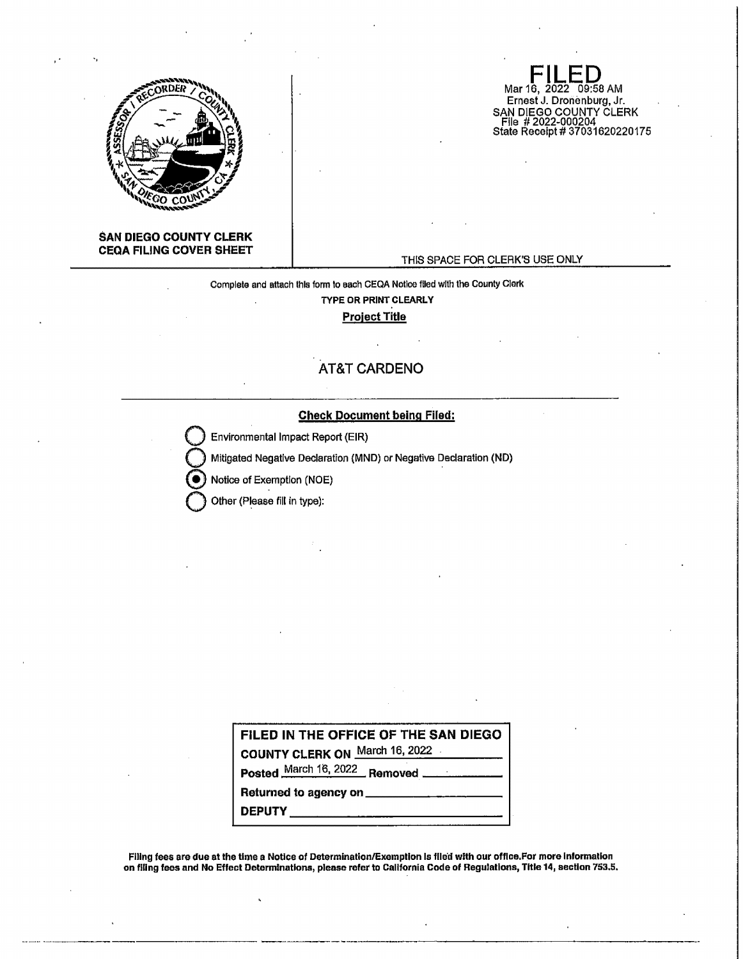

**SAN DIEGO COUNTY CLERK CEQA FILING COVER SHEET** 

## THIS SPACE FOR CLERK'S USE ONLY

**FILED**<br>Mar 16, 2022 09:58 AM Ernest J. Dronenburg, Jr.

SAN DIEGO COUNTY CLERK File # 2022-000204 State Receipt# 37031620220175

Complete and attach this form lo each CEQA Notice flied with the County Clerk TYPE OR **PRINT CLEARLY Project Title** 

## **AT&T CARDENO**

## Check Document being Filed:

Environmental Impact Report (EIR)

Mitigated Negative Declaration (MND) or Negative Declaration (ND)

Notice of Exemption (NOE)

Other (Please fill in type):

|                                    | FILED IN THE OFFICE OF THE SAN DIEGO       |
|------------------------------------|--------------------------------------------|
| COUNTY CLERK ON March 16, 2022     |                                            |
|                                    | Posted March 16, 2022 Removed ____________ |
|                                    | Returned to agency on                      |
| <b>DEPUTY</b> ____________________ |                                            |

Flllng fees are due at the time a Notice of Determination/Exemption Is filed with our office.For more Information on flllng fees and No Effect Determinations, please refer to California Code of Regulations, Title 14, section 753,5.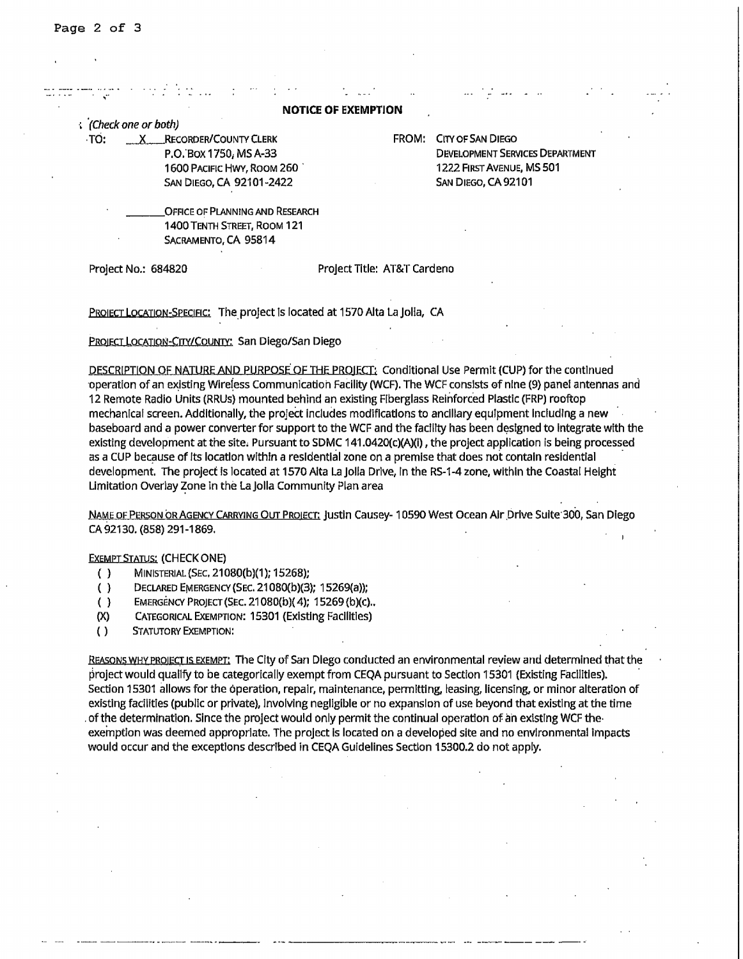|  |  | <b>NOTICE OF EXEMPTION</b> |  |
|--|--|----------------------------|--|
|--|--|----------------------------|--|

, ·(check one or both)

TO: X RECORDER/COUNTY CLERK P.o:sox 1750; MS A·33 1600 PACIFIC HWY, ROOM 260 . SAN DIEGO, CA 92101-2422

FROM: CITY OF SAN DIEGO DEVELOPMENT SERVICES DEPARTMENT 1222 FIRST AVENUE, MS 501 SAN DIEGO, CA 92101

OFFICE OF PLANNING AND RESEARCH 1400 TENTH STREET, ROOM 121 SACRAMENTO, CA 95814

Project No.: 684820 Project Title: AT&T Cardeno

PROIECT LOCATION-SPECIFIC: The project is located at 1570 Alta La Jolia, CA

PROIECT LOCATION-CITY/COUNTY: San Diego/San Diego

DESCRIPTION OF NATURE AND PURPOSE. OF THE PROIECT; conditional Use Permit (CUP) for the continued operation of an existing Wireless Communication Facility (WCF). The WCF consists of nine (9) panel antennas and 12 Remote Radio Units (RRUs} mounted behind an existing Fiberglass Reinforced Plastlc (FRP} rooftop mechanical screen. Addltionally, the project includes modifications to ancillary equipment Including a new baseboard and a power converter for support to the WCF and the facility has been designed to integrate with the existing development at the site, Pursuant to SDMC 141.0420(c)(A)(i), the project application is being processed as a CUP because of Its location within a residential zone on a premise that does not contain residential development. The project is located at 1570 Alta La Jolla Drive, in the RS-1-4 zone, within the Coastal Height Limitation Overlay Zone in the La Jolla Community Plan area

NAME OF PERSON OR AGENCY CARRYING OUT PROIECT: Justin Causey• 10590 West Ocean Air ,Drive Suite 300, San Diego CA 92130. (858) 291-1869.

**EXEMPT STATUS: (CHECKONE)** 

- ( ) MINISTERIAL(SEC, 21080(b)(1); 15268);
- ( } DECLARED EMERGENCY (SEC. 21080(b)(3}; 15269(a));
- ( } EMERGENCY PROJECT (SEC. 21080{b)( 4); 15269 {b)(c) ..
- (X) CATEGORICAL EXEMPTION: 15301 (Existing Facllltles)
- ( ) STATUTORY EXEMPTION:

REASONS WHY PROIECT IS EXEMPT: The City of San Diego conducted an environmental review and determined that the project would qualify to be categorically exempt from CEQA pursuant to Section 15301 (Existing Facilities). Section 15301 allows for the operation, repair, maintenance, permitting, leasing, licensing, or minor alteration of existing facilities (public or private), Involving negligible or no expansion of use beyond that existing at the time . of the determination. Since the project would only permit the continual operation of. **an existing** WCF the• exemption was deemed appropriate, The project Is located on a developed site and no environmental impacts would occur and the exceptions described in CEQAGuidelines Section 15300.2 do not apply.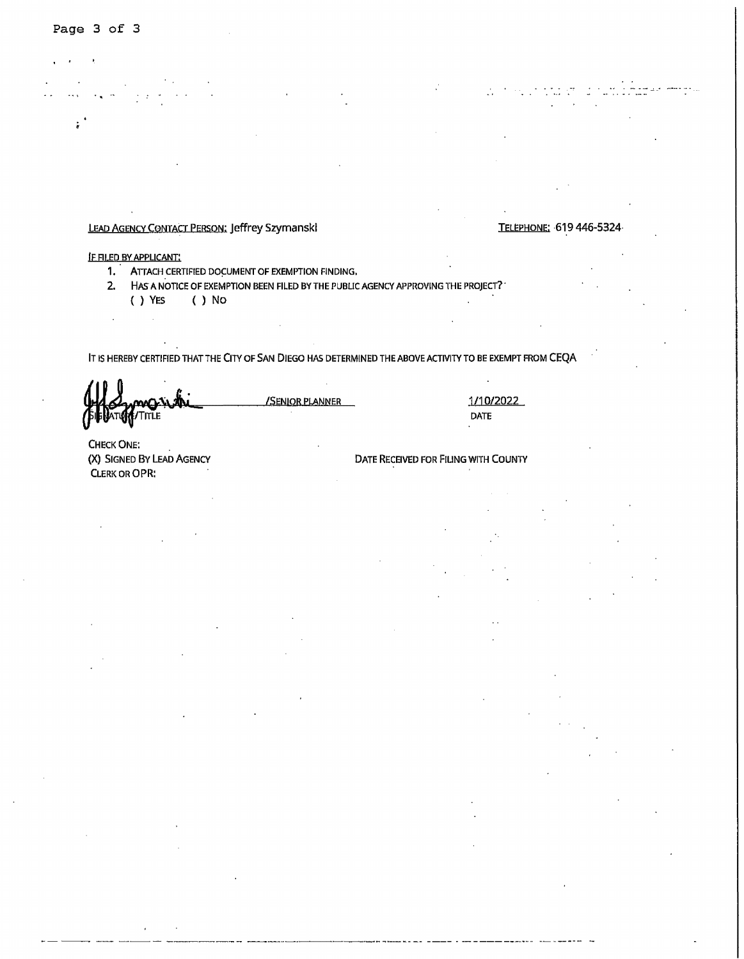$\ddot{\phantom{a}}$ 

LEAD AGENCY CONTACT PERSON: Jeffrey Szymanski CONTACT CONTACT TELEPHONE: 619 446-5324

IF RLED BY APPUCANT:

 $\mathcal{A}$ 

- 1. ATTACH CERTIFIED DOCUMENT OF EXEMPTION FINDING,
- 2. HAS A NOTICE OF EXEMPTION BEEN FILED BY THE PUBLIC AGENCY APPROVING THE PROJECT?. ( ) YES ( ) No

IT IS HEREBY CERTIFIED THAT THE CITY OF SAN DIEGO HAS DETERMINED THE ABOVE ACTIVITY TO BE EXEMPT FROM CEQA

**ATION / TITLE** 

/SEN)OR PLANNER 1/10/2022

DATE

CHECK ONE: (X) SIGNED BY LEAD AGENCY CLERK OR OPR:

 $\mathcal{L}$ 

DATE RECEIVED FOR FILING WITH COUNTY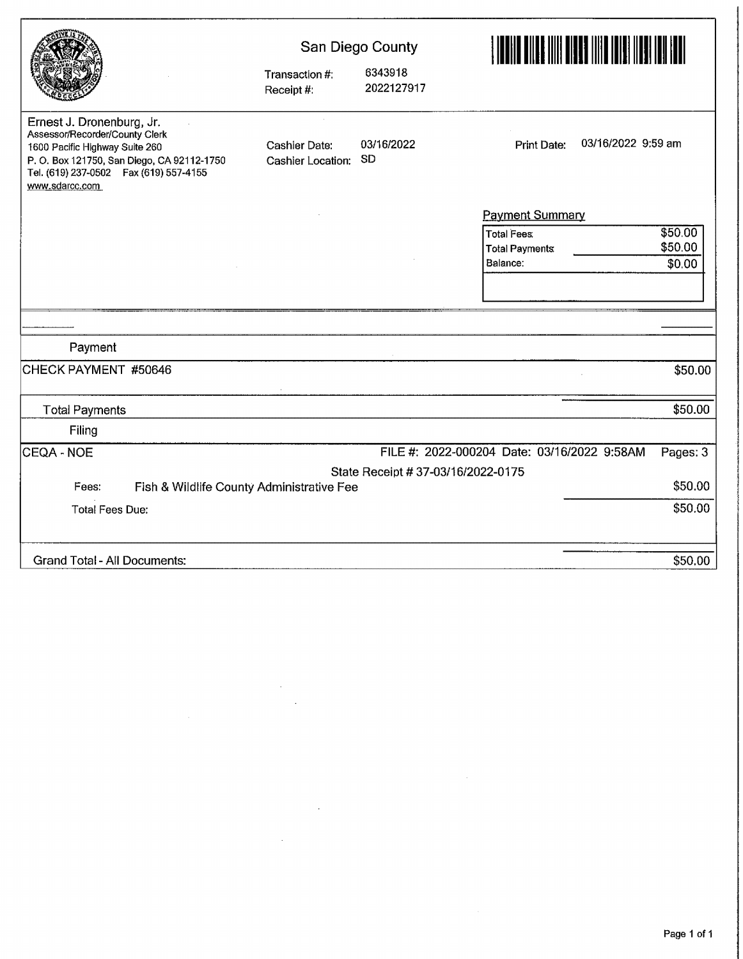|                                                                                                                                                                                                          |                                    | San Diego County                   |                                             |                    |
|----------------------------------------------------------------------------------------------------------------------------------------------------------------------------------------------------------|------------------------------------|------------------------------------|---------------------------------------------|--------------------|
|                                                                                                                                                                                                          | Transaction #:<br>Receipt #:       | 6343918<br>2022127917              |                                             |                    |
| Ernest J. Dronenburg, Jr.<br>Assessor/Recorder/County Clerk<br>1600 Pacific Highway Suite 260<br>P. O. Box 121750, San Diego, CA 92112-1750<br>Tel. (619) 237-0502  Fax (619) 557-4155<br>www.sdarcc.com | Cashier Date:<br>Cashier Location: | 03/16/2022<br>SD                   | <b>Print Date:</b>                          | 03/16/2022 9:59 am |
|                                                                                                                                                                                                          |                                    |                                    | <b>Payment Summary</b>                      |                    |
|                                                                                                                                                                                                          |                                    |                                    | <b>Total Fees:</b>                          | \$50.00            |
|                                                                                                                                                                                                          |                                    |                                    | <b>Total Payments</b>                       | \$50.00            |
|                                                                                                                                                                                                          |                                    |                                    | Balance:                                    | \$0.00             |
|                                                                                                                                                                                                          |                                    |                                    |                                             |                    |
|                                                                                                                                                                                                          |                                    |                                    |                                             |                    |
| Payment                                                                                                                                                                                                  |                                    |                                    |                                             |                    |
| CHECK PAYMENT #50646                                                                                                                                                                                     |                                    |                                    |                                             | \$50.00            |
| <b>Total Payments</b>                                                                                                                                                                                    |                                    |                                    |                                             | \$50.00            |
| Filing                                                                                                                                                                                                   |                                    |                                    |                                             |                    |
| CEQA - NOE                                                                                                                                                                                               |                                    |                                    | FILE #: 2022-000204 Date: 03/16/2022 9:58AM | Pages: 3           |
|                                                                                                                                                                                                          |                                    | State Receipt # 37-03/16/2022-0175 |                                             |                    |
| Fees:<br>Fish & Wildlife County Administrative Fee                                                                                                                                                       |                                    |                                    |                                             | \$50.00            |
| <b>Total Fees Due:</b>                                                                                                                                                                                   |                                    |                                    |                                             | \$50.00            |
| <b>Grand Total - All Documents:</b>                                                                                                                                                                      |                                    |                                    |                                             | \$50.00            |

 $\label{eq:2} \begin{split} \mathcal{L}_{\text{max}}(\mathcal{L}_{\text{max}}) = \mathcal{L}_{\text{max}}(\mathcal{L}_{\text{max}}) \end{split}$ 

 $\mathcal{L}^{\text{max}}_{\text{max}}$ 

 $\mathcal{L}^{\text{max}}_{\text{max}}$